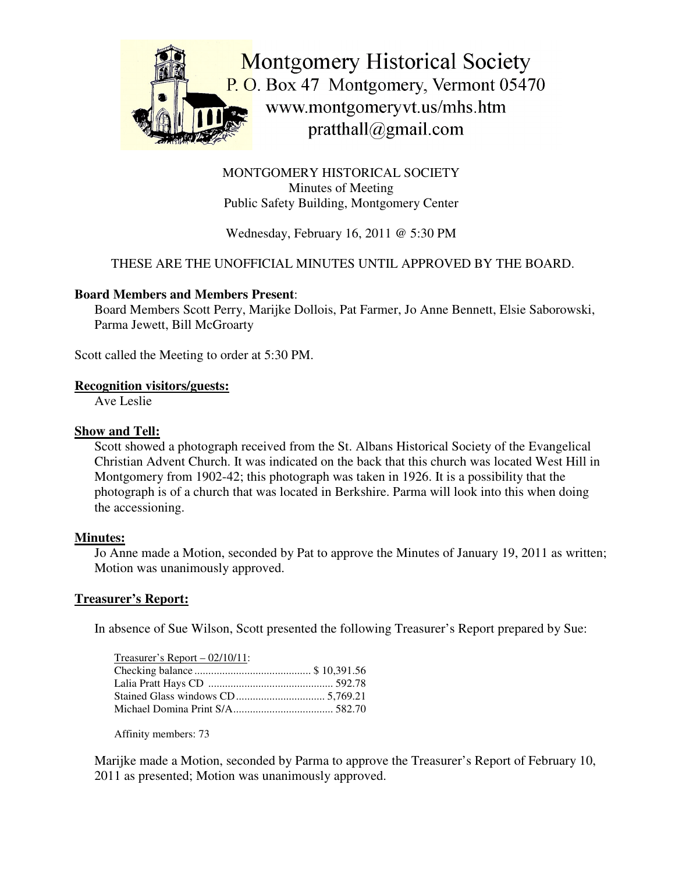

MONTGOMERY HISTORICAL SOCIETY Minutes of Meeting Public Safety Building, Montgomery Center

# Wednesday, February 16, 2011 @ 5:30 PM

## THESE ARE THE UNOFFICIAL MINUTES UNTIL APPROVED BY THE BOARD.

#### **Board Members and Members Present**:

Board Members Scott Perry, Marijke Dollois, Pat Farmer, Jo Anne Bennett, Elsie Saborowski, Parma Jewett, Bill McGroarty

Scott called the Meeting to order at 5:30 PM.

#### **Recognition visitors/guests:**

Ave Leslie

#### **Show and Tell:**

Scott showed a photograph received from the St. Albans Historical Society of the Evangelical Christian Advent Church. It was indicated on the back that this church was located West Hill in Montgomery from 1902-42; this photograph was taken in 1926. It is a possibility that the photograph is of a church that was located in Berkshire. Parma will look into this when doing the accessioning.

#### **Minutes:**

Jo Anne made a Motion, seconded by Pat to approve the Minutes of January 19, 2011 as written; Motion was unanimously approved.

#### **Treasurer's Report:**

In absence of Sue Wilson, Scott presented the following Treasurer's Report prepared by Sue:

| Treasurer's Report $- 02/10/11$ : |  |
|-----------------------------------|--|
|                                   |  |
|                                   |  |
|                                   |  |
|                                   |  |

Affinity members: 73

Marijke made a Motion, seconded by Parma to approve the Treasurer's Report of February 10, 2011 as presented; Motion was unanimously approved.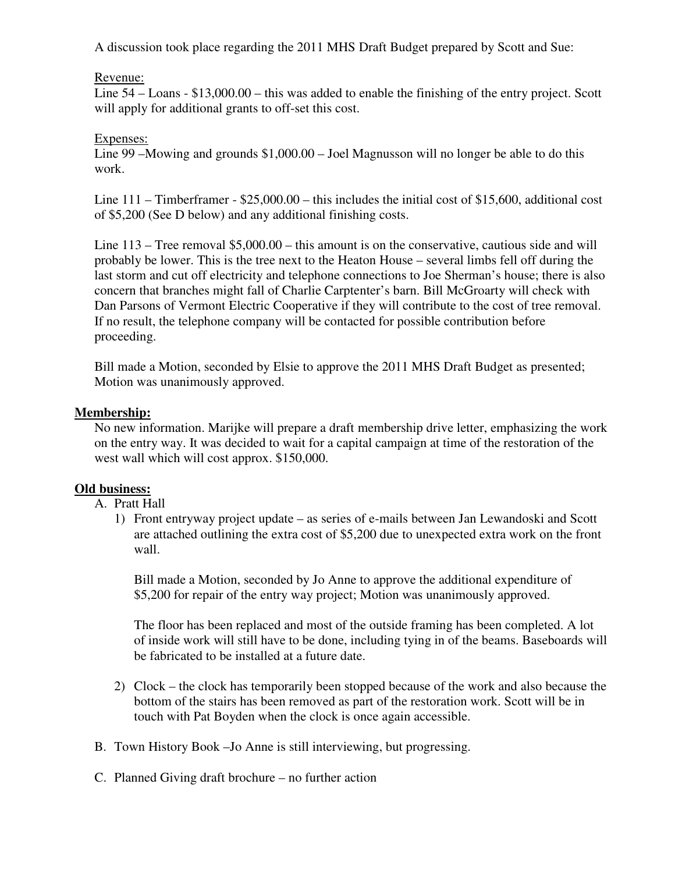A discussion took place regarding the 2011 MHS Draft Budget prepared by Scott and Sue:

### Revenue:

Line 54 – Loans - \$13,000.00 – this was added to enable the finishing of the entry project. Scott will apply for additional grants to off-set this cost.

### Expenses:

Line 99 –Mowing and grounds \$1,000.00 – Joel Magnusson will no longer be able to do this work.

Line 111 – Timberframer - \$25,000.00 – this includes the initial cost of \$15,600, additional cost of \$5,200 (See D below) and any additional finishing costs.

Line 113 – Tree removal \$5,000.00 – this amount is on the conservative, cautious side and will probably be lower. This is the tree next to the Heaton House – several limbs fell off during the last storm and cut off electricity and telephone connections to Joe Sherman's house; there is also concern that branches might fall of Charlie Carptenter's barn. Bill McGroarty will check with Dan Parsons of Vermont Electric Cooperative if they will contribute to the cost of tree removal. If no result, the telephone company will be contacted for possible contribution before proceeding.

Bill made a Motion, seconded by Elsie to approve the 2011 MHS Draft Budget as presented; Motion was unanimously approved.

### **Membership:**

No new information. Marijke will prepare a draft membership drive letter, emphasizing the work on the entry way. It was decided to wait for a capital campaign at time of the restoration of the west wall which will cost approx. \$150,000.

## **Old business:**

A. Pratt Hall

1) Front entryway project update – as series of e-mails between Jan Lewandoski and Scott are attached outlining the extra cost of \$5,200 due to unexpected extra work on the front wall.

Bill made a Motion, seconded by Jo Anne to approve the additional expenditure of \$5,200 for repair of the entry way project; Motion was unanimously approved.

The floor has been replaced and most of the outside framing has been completed. A lot of inside work will still have to be done, including tying in of the beams. Baseboards will be fabricated to be installed at a future date.

- 2) Clock the clock has temporarily been stopped because of the work and also because the bottom of the stairs has been removed as part of the restoration work. Scott will be in touch with Pat Boyden when the clock is once again accessible.
- B. Town History Book –Jo Anne is still interviewing, but progressing.
- C. Planned Giving draft brochure no further action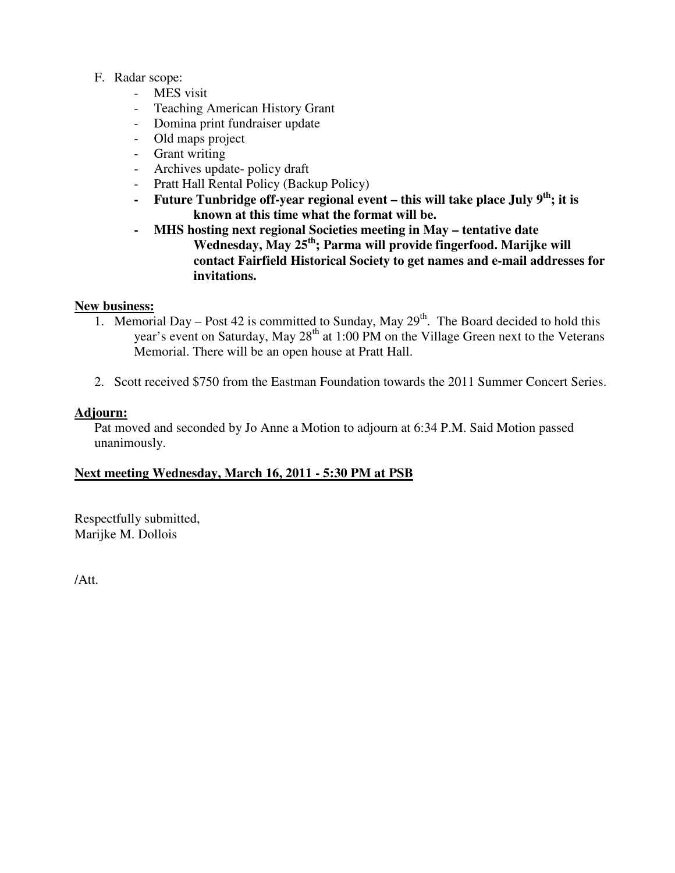### F. Radar scope:

- MES visit
- Teaching American History Grant
- Domina print fundraiser update
- Old maps project
- Grant writing
- Archives update- policy draft
- Pratt Hall Rental Policy (Backup Policy)
- **- Future Tunbridge off-year regional event – this will take place July 9 th ; it is known at this time what the format will be.**
- **- MHS hosting next regional Societies meeting in May – tentative date Wednesday, May 25 th ; Parma will provide fingerfood. Marijke will contact Fairfield Historical Society to get names and e-mail addresses for invitations.**

### **New business:**

- 1. Memorial Day Post 42 is committed to Sunday, May  $29<sup>th</sup>$ . The Board decided to hold this year's event on Saturday, May 28<sup>th</sup> at 1:00 PM on the Village Green next to the Veterans Memorial. There will be an open house at Pratt Hall.
- 2. Scott received \$750 from the Eastman Foundation towards the 2011 Summer Concert Series.

### **Adjourn:**

Pat moved and seconded by Jo Anne a Motion to adjourn at 6:34 P.M. Said Motion passed unanimously.

## **Next meeting Wednesday, March 16, 2011 - 5:30 PM at PSB**

Respectfully submitted, Marijke M. Dollois

/Att.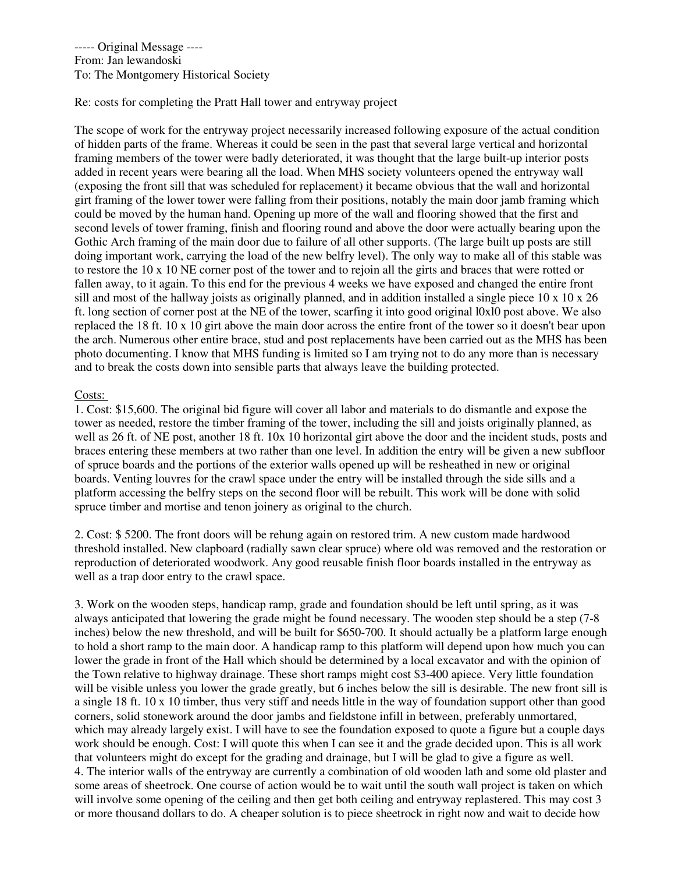----- Original Message ---- From: Jan lewandoski To: The Montgomery Historical Society

Re: costs for completing the Pratt Hall tower and entryway project

The scope of work for the entryway project necessarily increased following exposure of the actual condition of hidden parts of the frame. Whereas it could be seen in the past that several large vertical and horizontal framing members of the tower were badly deteriorated, it was thought that the large built-up interior posts added in recent years were bearing all the load. When MHS society volunteers opened the entryway wall (exposing the front sill that was scheduled for replacement) it became obvious that the wall and horizontal girt framing of the lower tower were falling from their positions, notably the main door jamb framing which could be moved by the human hand. Opening up more of the wall and flooring showed that the first and second levels of tower framing, finish and flooring round and above the door were actually bearing upon the Gothic Arch framing of the main door due to failure of all other supports. (The large built up posts are still doing important work, carrying the load of the new belfry level). The only way to make all of this stable was to restore the 10 x 10 NE corner post of the tower and to rejoin all the girts and braces that were rotted or fallen away, to it again. To this end for the previous 4 weeks we have exposed and changed the entire front sill and most of the hallway joists as originally planned, and in addition installed a single piece  $10 \times 10 \times 26$ ft. long section of corner post at the NE of the tower, scarfing it into good original l0xl0 post above. We also replaced the 18 ft. 10 x 10 girt above the main door across the entire front of the tower so it doesn't bear upon the arch. Numerous other entire brace, stud and post replacements have been carried out as the MHS has been photo documenting. I know that MHS funding is limited so I am trying not to do any more than is necessary and to break the costs down into sensible parts that always leave the building protected.

#### Costs:

1. Cost: \$15,600. The original bid figure will cover all labor and materials to do dismantle and expose the tower as needed, restore the timber framing of the tower, including the sill and joists originally planned, as well as 26 ft. of NE post, another 18 ft. 10x 10 horizontal girt above the door and the incident studs, posts and braces entering these members at two rather than one level. In addition the entry will be given a new subfloor of spruce boards and the portions of the exterior walls opened up will be resheathed in new or original boards. Venting louvres for the crawl space under the entry will be installed through the side sills and a platform accessing the belfry steps on the second floor will be rebuilt. This work will be done with solid spruce timber and mortise and tenon joinery as original to the church.

2. Cost: \$ 5200. The front doors will be rehung again on restored trim. A new custom made hardwood threshold installed. New clapboard (radially sawn clear spruce) where old was removed and the restoration or reproduction of deteriorated woodwork. Any good reusable finish floor boards installed in the entryway as well as a trap door entry to the crawl space.

3. Work on the wooden steps, handicap ramp, grade and foundation should be left until spring, as it was always anticipated that lowering the grade might be found necessary. The wooden step should be a step (7-8 inches) below the new threshold, and will be built for \$650-700. It should actually be a platform large enough to hold a short ramp to the main door. A handicap ramp to this platform will depend upon how much you can lower the grade in front of the Hall which should be determined by a local excavator and with the opinion of the Town relative to highway drainage. These short ramps might cost \$3-400 apiece. Very little foundation will be visible unless you lower the grade greatly, but 6 inches below the sill is desirable. The new front sill is a single 18 ft. 10 x 10 timber, thus very stiff and needs little in the way of foundation support other than good corners, solid stonework around the door jambs and fieldstone infill in between, preferably unmortared, which may already largely exist. I will have to see the foundation exposed to quote a figure but a couple days work should be enough. Cost: I will quote this when I can see it and the grade decided upon. This is all work that volunteers might do except for the grading and drainage, but I will be glad to give a figure as well. 4. The interior walls of the entryway are currently a combination of old wooden lath and some old plaster and some areas of sheetrock. One course of action would be to wait until the south wall project is taken on which will involve some opening of the ceiling and then get both ceiling and entryway replastered. This may cost 3 or more thousand dollars to do. A cheaper solution is to piece sheetrock in right now and wait to decide how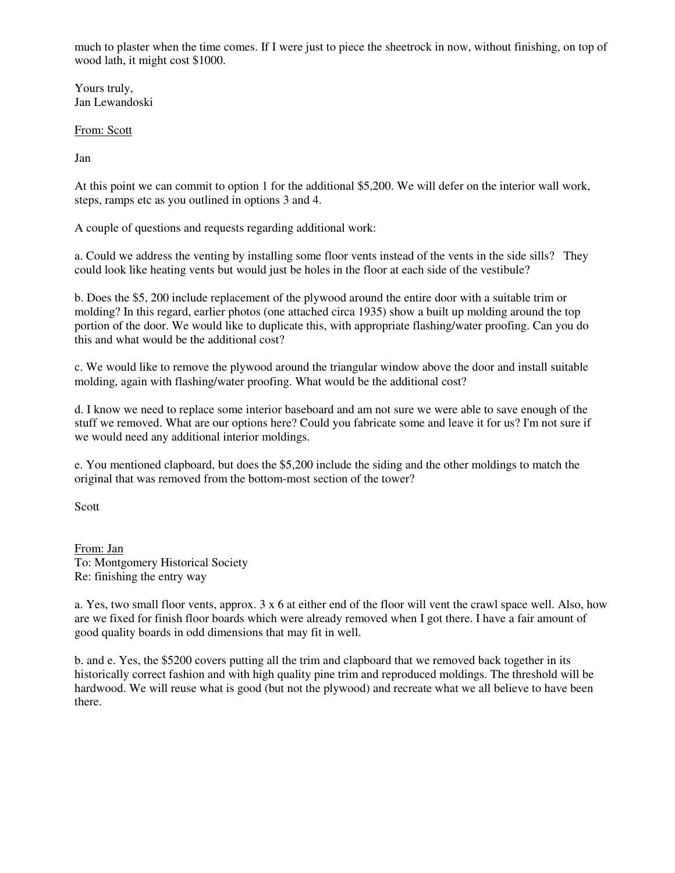much to plaster when the time comes. If I were just to piece the sheetrock in now, without finishing, on top of wood lath, it might cost \$1000.

Yours truly, Jan Lewandoski

From: Scott

Jan

At this point we can commit to option 1 for the additional \$5,200. We will defer on the interior wall work, steps, ramps etc as you outlined in options 3 and 4.

A couple of questions and requests regarding additional work:

a. Could we address the venting by installing some floor vents instead of the vents in the side sills? They could look like heating vents but would just be holes in the floor at each side of the vestibule?

b. Does the \$5, 200 include replacement of the plywood around the entire door with a suitable trim or molding? In this regard, earlier photos (one attached circa 1935) show a built up molding around the top portion of the door. We would like to duplicate this, with appropriate flashing/water proofing. Can you do this and what would be the additional cost?

c. We would like to remove the plywood around the triangular window above the door and install suitable molding, again with flashing/water proofing. What would be the additional cost?

d. I know we need to replace some interior baseboard and am not sure we were able to save enough of the stuff we removed. What are our options here? Could you fabricate some and leave it for us? I'm not sure if we would need any additional interior moldings.

e. You mentioned clapboard, but does the \$5,200 include the siding and the other moldings to match the original that was removed from the bottom-most section of the tower?

Scott

From: Jan To: Montgomery Historical Society Re: finishing the entry way

a. Yes, two small floor vents, approx.  $3 \times 6$  at either end of the floor will vent the crawl space well. Also, how are we fixed for finish floor boards which were already removed when I got there. I have a fair amount of good quality boards in odd dimensions that may fit in well.

b. and e. Yes, the \$5200 covers putting all the trim and clapboard that we removed back together in its historically correct fashion and with high quality pine trim and reproduced moldings. The threshold will be hardwood. We will reuse what is good (but not the plywood) and recreate what we all believe to have been there.